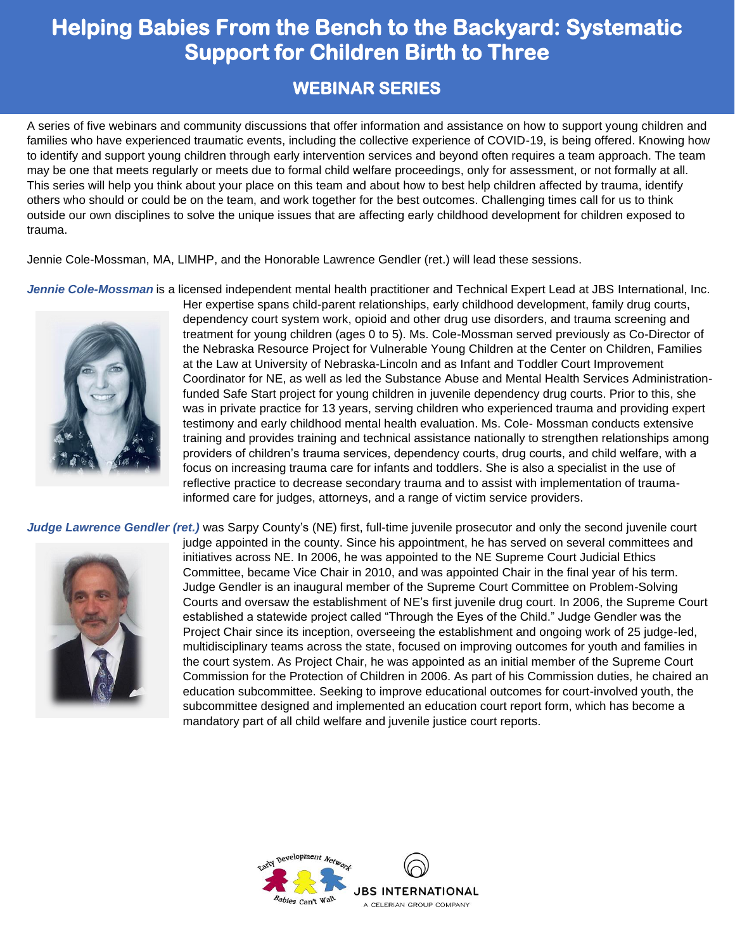## **Helping Babies From the Bench to the Backyard: Systematic Support for Children Birth to Three**

### **WEBINAR SERIES**

A series of five webinars and community discussions that offer information and assistance on how to support young children and families who have experienced traumatic events, including the collective experience of COVID-19, is being offered. Knowing how to identify and support young children through early intervention services and beyond often requires a team approach. The team may be one that meets regularly or meets due to formal child welfare proceedings, only for assessment, or not formally at all. This series will help you think about your place on this team and about how to best help children affected by trauma, identify others who should or could be on the team, and work together for the best outcomes. Challenging times call for us to think outside our own disciplines to solve the unique issues that are affecting early childhood development for children exposed to trauma.

Jennie Cole-Mossman, MA, LIMHP, and the Honorable Lawrence Gendler (ret.) will lead these sessions.

*Jennie Cole-Mossman* is a licensed independent mental health practitioner and Technical Expert Lead at JBS International, Inc.



Her expertise spans child-parent relationships, early childhood development, family drug courts, dependency court system work, opioid and other drug use disorders, and trauma screening and treatment for young children (ages 0 to 5). Ms. Cole-Mossman served previously as Co-Director of the Nebraska Resource Project for Vulnerable Young Children at the Center on Children, Families at the Law at University of Nebraska-Lincoln and as Infant and Toddler Court Improvement Coordinator for NE, as well as led the Substance Abuse and Mental Health Services Administrationfunded Safe Start project for young children in juvenile dependency drug courts. Prior to this, she was in private practice for 13 years, serving children who experienced trauma and providing expert testimony and early childhood mental health evaluation. Ms. Cole- Mossman conducts extensive training and provides training and technical assistance nationally to strengthen relationships among providers of children's trauma services, dependency courts, drug courts, and child welfare, with a focus on increasing trauma care for infants and toddlers. She is also a specialist in the use of reflective practice to decrease secondary trauma and to assist with implementation of traumainformed care for judges, attorneys, and a range of victim service providers.

*Judge Lawrence Gendler (ret.)* was Sarpy County's (NE) first, full-time juvenile prosecutor and only the second juvenile court



judge appointed in the county. Since his appointment, he has served on several committees and initiatives across NE. In 2006, he was appointed to the NE Supreme Court Judicial Ethics Committee, became Vice Chair in 2010, and was appointed Chair in the final year of his term. Judge Gendler is an inaugural member of the Supreme Court Committee on Problem-Solving Courts and oversaw the establishment of NE's first juvenile drug court. In 2006, the Supreme Court established a statewide project called "Through the Eyes of the Child." Judge Gendler was the Project Chair since its inception, overseeing the establishment and ongoing work of 25 judge-led, multidisciplinary teams across the state, focused on improving outcomes for youth and families in the court system. As Project Chair, he was appointed as an initial member of the Supreme Court Commission for the Protection of Children in 2006. As part of his Commission duties, he chaired an education subcommittee. Seeking to improve educational outcomes for court-involved youth, the subcommittee designed and implemented an education court report form, which has become a mandatory part of all child welfare and juvenile justice court reports.